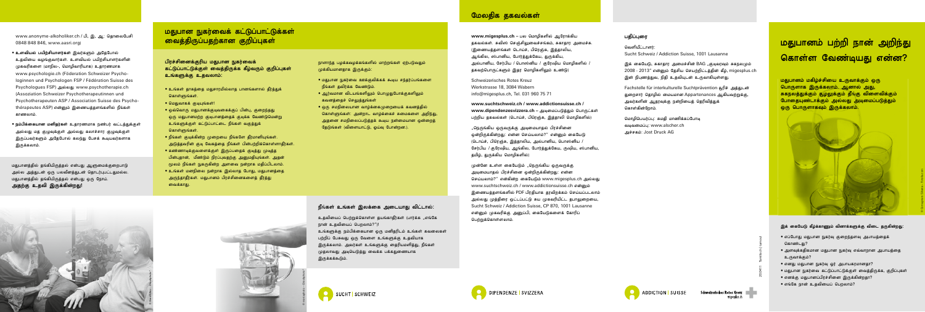Sucht Schweiz / Addiction Suisse, 1001 Lausanne

இக் கையேடு, சுகாகாா அமைச்சின் BAG ,,குடிவாவும் சுகநலமும் 2008 - 2013" என்னும் தேசிய செயற்றிட்டத்தின் கீழ், migesplus.ch இன் நிபுணத்துவ, நிதி உதவியுடன் உருவாகியுள்ளது.

Fachstelle für interkulturelle Suchtprävention சுரிச் அக்கடன் துறைசார் கொமில் மையமான Appartenances ஆகியவற்றுக்கு, அவர்களின் ஆதரவுக்கு நன்றியைத் தெரிவித்துக் கொள்கின்றோம்.

மொழிபெயர்ப்பு: சுமதி மாணிக்கப்போடி வடிவமைப்ப: www.alscher.ch அச்சகம்: Jost Druck AG

# மதுபானம் பற்றி நான் அறிந்து கொள்ள வேண்டியது என்ன?

மதுபானம் மகிழ்ச்சியை உருவாக்கும் ஒரு பொருளாக இருக்கலாம். ஆனால் அது, சுகநலத்துக்கும் கூழலுக்கும் தீங்கு விளைவிக்கும் போதையுண்டாக்கும் அல்லது அடிமைப்படுத்தும் ுடை பொருளாகவும் இருக்கலாம்.



# இக் கையேடு கீழ்க்காணும் வினாக்களுக்கு விடை தருகின்றது:

**www.suchtschweiz.ch / www.addictionsuisse.ch /**  www.dipendenzesvizzera.ch – அடிமைப்படுத்தும் பொருட்கள் பற்றிய தகவல்கள் (டொய்ச், பிரெஞ்சு, இத்தாலி மொழிகளில்)

,,நெருங்கிய ஒருவருக்கு அடிமையாதல் பிரச்சினை ணிிருக்கின்றது; என்ன செய்யலாம்?" என்னும் கையேடு (டொய்ச், பிரெஞ்சு, இத்தாலிய, அல்பானிய, பொஸ்னிய / சேர்பிய / குரேஷிய, ஆங்கில, போர்த்துக்கேய, ருஷிய, ஸ்பானிய, கமிம், குருக்கிய மொமிகளில்)

முன்னே உள்ள கையேடும் "நெருங்கிய ஒருவருக்கு அடிமையாதல் பிரச்சினை ஒன்றிருக்கின்றது: என்ன செய்யலாம்?" என்கின்ற கையேடும் www.migesplus.ch அல்லது www.suchtschweiz.ch / www.addictionsuisse.ch என்னம் இணையத்தளங்களில் PDF பிரதியாக தரவிறக்கம் செய்யப்படலாம் அல்லது முத்திரை ஒட்டப்பட்டு சுய முகவரியிட்ட தபாலுறையை, Sucht Schweiz / Addiction Suisse, CP 870, 1001 Lausanne என்றும் முகவரிக்கு அறுப்பி, கையேடுகளைக் கோரிப் பெற்றுக்கொள்ளலாம்.

## பகிப்பரை

வெளியீட்டாளர்:

Schweizerisches Rotes Kreuz Werkstrasse 18, 3084 Wabern info@migesplus.ch, Tel. 031 960 75 71

www.anonyme-alkoholiker.ch / பி, இ, ஆ: கொலைபேசி 0848 848 846, www.aasri.org)

- உளவியல் பயிற்சியாளர்கள் இவர்களும் அகேபோல் உதவியை வழங்குவார்கள். உளவியல் பயிற்சியாளர்களின் முகவரிகளை (மாநில-, மொழிவாரியாக) உதாரணமாக www.psychologie.ch (Föderation Schweizer Psychologinnen und Psychologen FSP / Fédération Suisse des Psychologues FSP) அல்லது www.psychotherapie.ch (Assoziation Schweizer Psychotherapeutinnen und Psychotherapeuten ASP / Association Suisse des Psychothérapeutes ASP) என்றும் இணையத்தளங்களில் நீங்கள் காணலாம்.
- நம்பிக்கையான மனிதர்கள் உதாரணமாக நண்பர் வட்டத்துக்குள் அல்லது மத குழுவுக்குள் அல்லது கலாச்சார குழுவுக்குள் இருப்பவர்களும் அதேபோல் கலந்து பேசக் கூடியவர்களாக **இருக்கலாம்.**

மதுபானத்தில் தங்கியிருத்தல் என்பது ஆளுமைக்குறைபாடு அல்ல அத்துடன் ஒரு பலவீனத்துடன் தொடர்புபட்டதுமல்ல. மதுபானத்தில் தங்கியிருத்தல் என்பது ஒரு நோய். அதற்கு உதவி இருக்கின்றது!

# மதுபான நுகர்வைக் கட்டுப்பாட்டுக்கள் <mark>வைத்திருப்பதற்கான</mark> குறிப்புகள்

பிரச்சினைக்குரிய மதுபான நுகர்வைக் கட்டுப்பாட்டுக்குள் வைத்திருக்க கீழ்வரும் குறிப்புகள் உங்களுக்கு உதவலாம்:

- உங்கள் தாகத்தை மதுசாரமில்லாத பானங்களால் தீர்த்துக் கொள்ளுங்கள்.
- மெதுவாகக் குடியுங்கள்!
- ஓவ்வொரு மதுபானக்குடிவகைக்குப் பின்பு, குறைந்தது ஒரு மதுபானமற்ற குடிபானத்தைக் குடிக்க வேண்டுமென்று உங்களுக்குள் கட்டுப்பாட்டை நீங்கள் வகுத்துக் கொள்ளுங்கள்.
- $\bullet$  நீங்கள் குடிக்கின்ற முறையை நீங்களே தீர்மானியங்கள். அடுத்தவரின் குடி வேகத்தை நீங்கள் பின்பற்றிக்கொள்ளாதீர்கள்.
- கண்ணாடிக்குவளைக்குள் இருப்பதைக் குடித்து முடித்த பின்பகான். மீண்டும் நிாப்பவகற்கு அமைகியங்கள். அகன் மூலம் நீங்கள் நுகருகின்ற அளவை நன்றாக மதிப்பிடலாம்.
- $\bullet$  உங்கள் மனநிலை நன்றாக இல்லாத போது, மதுபானத்தை அருந்தாதீர்கள். மதுபானம் பிரச்சினைகளைத் தீர்த்து வைக்காது.

நாளாந்த பழக்கவழக்கங்களில் மாற்றங்கள் ஏற்படுவதும் முக்கியமானகாக இருக்கும்:

- $\bullet$  மகுபான நுகர்வை ஊக்குவிக்கக் கூடிய சந்கர்ப்பங்களை நீங்கள் தவிர்க்க வேண்டும்.
- ஆர்வமான விடயங்களிலும் பொமுதுபோக்குகளிலும் கவனக்கைச் செலுக்குங்கள்
- $\bullet$  ஒரு சமநிலையான வாழ்க்கைமுறையைக் கவனத்தில் கொள்ளுங்கள்: அன்றாட வாம்க்கைச் சுமைகளை அறிந்து, அகனை சமநிலைப்படுக்கக் கூடிய நன்மையான ஒன்றைக் தேடுங்கள் (விளையாட்டு, ஓய்வு போன்றன.).



## நீங்கள் உங்கள் இலக்கை அடையாது விட்டால்:

உதவியைப் பெற்றுக்கொள்ள தயங்காகீர்கள் (பார்க்க "எங்கே நான் உதவியைப் பெறலாம்?")!

உங்களுக்கு நம்பிக்கையான ஒரு மனிதரிடம் உங்கள் கவலைகள் பற்றிப் பேசுவது ஒரு வேளை உங்களுக்கு உதவியாக இருக்கலாம். அவர்கள் உங்களுக்கு தைரியமளித்து, நீங்கள் முதலாவது அடியெடுத்து வைக்க பக்கதுணையாக இருக்கக்கூடும்.



# மேலதிக தகவல்கள்

www.migesplus.ch – பல மொழிகளில் ஆரோக்கிய தகவல்கள், சுவிஸ் செஞ்சிலுவைச்சங்கம், சுகாகாா அமைச்சு. (இணையத்தளங்கள் டொய்ச், பிரெஞ்சு, இத்தாலிய, ஆங்கில, ஸ்பானிய, போர்த்துக்கேய, துருக்கிய, அல்பானிய, சேர்பிய / பொஸ்னிய / குரேஷிய மொமிகளில் / தகவற்பொருட்களும் இதர மொழிகளிலும் உண்டு)

© Comugnero Silvana – Fotolia.com

- எப்போது மதுபான நுகர்வு குறைந்தளவு அபாயத்தைக் கொண்டது?
- $\bullet$  அளவக்ககிகமான மகுபான நுகர்வ எவ்வாறான அபாயக்கை உருவாக்கும்?
- எனது மதுபான நுகர்வு ஓர் அபாயகரமானதா?
- மதுபான நுகர்வை கட்டுப்பாட்டுக்குள் வைத்திருக்க, குறிப்புகள்
- எனக்கு மதுபானப்பிரச்சினை இருக்கின்றதா?
- எங்கே நான் உதவியைப் பெறலாம்?







Schweizerisches Rotes Kreuz – The Book migesplus.ch



20.0411 Tamilisch | tamoul